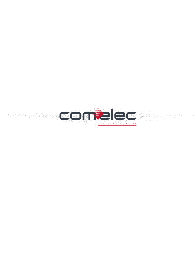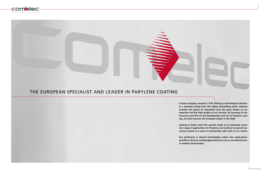



# THE EUROPEAN SPECIALIST AND LEADER IN PARYLENE COATING

**A Swiss company created in 1979 offering a technological solution to a demand arising from the highly demanding watch industry, Comelec has grown its reputation over the years thanks to our expertise and the high quality of our services. By focusing all our resources and skill on the development and use of Parylene coating, we have become the European leader in the field.**

**Seeking to better meet the specific needs of an extremely extensive range of applications for Parylene, we continue to expand our services based on a spirit of partnership with each of our clients.**

**Our proficiency in plasma technologies makes new applications possible in diverse cutting-edge industries such as microelectronics or medical technologies.**

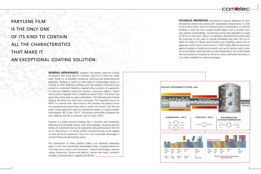PARYLENE FILM IS THE ONLY ONE OF ITS KIND TO CONTAIN ALL THE CHARACTERISTICS THAT MAKE IT

AN EXCEPTIONAL COATING SOLUTION :

**TECHNICAL PROPERTIES:** the process of vacuum deposition at room temperature endows this coating with unparalleled characteristics. It is free of any internal stress. Due to its extreme power of penetration, it conforms perfectly to even the most complex-shaped objects with a constant thickness (perfect conformability ). Its thickness can be easily adjusted in a range of 50 nm to more than 100 µm. Its significant physicochemical inertia and the continuity of film, even in minimal thicknesses (less than 100 nm on Wafer Si), leads to it being used primarily as an insulating coating (for an aggressive and/or electric environment). It offers highly effective protection against humidity or hostile environments (such as for sensors) and is resistant to all solvents, acids and bases at room temperature. As it is biocompatible and resistant to scratches as well as to various sterilisation processes, it is an ideal candidate for medical packaging.

**GENERAL APPEARANCE**: Parylene is the generic name for a family of polymers with more than 20 variations. Only five of these are widely used. Thanks to its excellent mechanical, electrical and physicochemical properties, Parylene is used in a wide range of cutting-edge sectors. In contrast to other protective coatings which are painted, immersed or pulverised on a substrate, Parylene is applied using a process of evaporation in a vacuum chamber. During this process, a precursor called a "dimer" which comes in powder form, is heated at around 150°C. The dimer thus goes from a solid state to a gas (sublimation ). The following step involves splitting the dimer into two active monomers. This separation occurs at 650°C in a tubular oven. Upon arrival in this chamber, the gaseous monomer spontaneously polymerises when it comes into contact with the substrate. Finally, gases that have not reacted are caught in a liquid nitrogen trap between -90 °C and -120 °C. The process uses neither a catalyser nor toxic additives and has a conversion rate of nearly 100%.







Parylene is a highly technical coating that is ultra-thin and transparent, physically and chemically neutral, inert, biocompatible, insulating and protective, of a thickness that can be sized both easily and precisely (from 50 nm to 100 microns). It is totally uniform, pinhole-free and can be applied to small technical components. One of its most remarkable advantages is its form-fitting and penetrating nature.

The combination of these qualities make it an extremely interesting player in the most demanding technological fields, including electronics, micro-electronics, space and aeronautics, medical technologies, pharmacology ( elastomers, silicone and plastics), sensors and mems, nanotechnologies, micromechanics, magnets and ferrites.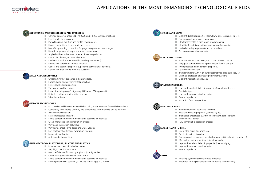## **ELECTRONICS, MICROELECTRONICS AND OPTRONICS**

- **E** Certified approved under MIL-I-46058C and IPC-CC-830 specifications.
- **Excellent electrical insulator.**
- $\blacksquare$  Protects against moisture and hostile environments.
- $\blacksquare$  Highly resistant to solvents, acids, and bases.
- Form-fitting coating: protection for projecting parts and sharp edges.
- Deposition process takes place at room temperature.
- $\Box$  Applied without solvents or other additives, no pollution.
- Film is pinhole-free, no internal stresses.
- $\blacksquare$  Mechanical reinforcement (welds, bonding, maces etc.).
- **Immobilises particles of sintered materials.**
- **D** Optical and acoustic properties superior to conventional polymers.
- $\blacksquare$  Flexible film that can be used as a substrate.

- Biocompatible and bio-stable: FDA certified according to ISO 10993 and film certified USP Class VI.
- Completely form-fitting, uniform, and pinhole-free, and thickness can be adjusted.
- **Very chemically resistant.**
- **Excellent electrical insulator.**
- Single-component film with no solvents, catalysts, or additives.
- Clean, manageable implementation process.
- **Very good sterilisation behaviour.**
- **Now permeability to gases and water vapour.**
- **Low coefficient of friction, hydrophobic nature.**
- $\blacksquare$  Favours tissue fixation.
- Anti-microbial properties.

# **SPACE AND AERONAUTICS**

- **Ultrathin film that generates a slight overload.**
- **Encapsulation and environmental protection.**
- **Excellent dielectric properties.**
- **Thermochemical behaviour.**
- Insignificant degassing/outgassing (NASA and ESA-approved).
- $\blacksquare$  Reliable, configurable deposition process.
- **No. 3** Vibration resistant.

## **MEDICAL TECHNOLOGIES**

**Now y** very good barrier propertie against vapour, flavour and gas. **Hydrophobic and non-adhesive properties.**  $\blacksquare$  Transparent layer with high purity (catalyst free, plasticizer free,...). Chemical protection against aggressive formulations.

Layer with excellent dielectric properties (permittivity, tg, ...).

Excellent dielectric properties (permittivity,  $tq, ...$ ).

Tribological properties: low friction coefficient, solid lubricant.

Fully configurable deposition process.

### **PHARMACOLOGY, ELASTOMERA, SILICONE AND PLASTICS**

- Non-reactive, inert, pinhole-free barrier.
- **Very high chemical resistance.**
- **Low coefficient of friction, hydrophobic (configurable).**
- Clean, manageable implementation process.
- Single-component film with no solvents, catalysts, or additives.
- Biocompatible: FDA-certified (USP Class VI Package), ISO 10993.





# **SENSORS AND MEMS**

- 
- **Barrier against aggressive environments.**
- 
- 
- 
- **Process does not alter elements.**

### **FOOD AND COSMETIC**

- Food contact approval : FDA, EU 10/2011 et USP Class VI.
- 
- 
- Low friction coefficient.
- 
- 
- **EXCELLENT STERILLE STERN STERN STERN STERN STERN STERN STERN STERN STERN STERN STERN STERN STERN STERN STERN ST**

## **NANOTECHNOLOGIES**

- 
- Sacrificial layer.
- **Layer with unusual optical behaviour.**
- Final encapsulation.
- **Protection from nanoparticles.**

# **MICROMECHANICS**

### **MAGNETS AND FERRITES**

- **Unequalled ability to encapsulate.**
- **Excellent electrical insulator.**
- 
- 
- 
- 
- $\blacksquare$  Final encapsulation.
- -



Excellent dielectric properties (permittivity, bulk resistance, tg, ...). Film transparent to a wide range of wavelengths. **Ultrathin, form-fitting, uniform, and pinhole-free coating. Unrivalled ability to penetrate and encapsulate.** 

Barrier against harsh environments (low permeability, chemical resistance).

**Mechanical reinforcement for sintered materials.** 

Layer with excellent dielectric properties (permittivity, tg, ...).

Layer with unusual optical behaviour.

 $\blacksquare$  Finishing layer with specific surface properties. **Protection for fragile elements and art objects (conservation).** 

6 a constant of the constant of the constant of the constant of the constant of the constant of the constant of the constant of the constant of the constant of the constant of the constant of the constant of the constant o

**OTHER**

- Transparent film of adjustable thickness.
- 
- 
- **Environmental barrier.**
-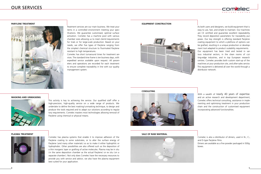**PARYLENE TREATMENT**



Treatment services are our main business. We treat your items in a controlled environment meeting your specifications. We guarantee customised, optimal surface activation. Comelec has a machine pool with various chamber sizes allowing us to meet clients'requirements for trials or for large-scale production. Based on your needs, we offer five types of Parylene ranging from the simplest chemical structure to fluorinated Parylene resistant to high temperatures.

Comelec has short turnaround times for treatment services. The standard time frame is ten business days, with expedited service available upon request. All parameters and operations are recorded for each treatment to ensure complete traceability in line with our quality management system.



This activity is key to achieving the service. Our qualified staff offer a high-precision, high-quality service on a wide range of products. We undertake to define the best masking/unmasking technique, to design and produce the tools required and to adapt our solutions according to regulatory requirements. Comelec masters most technologies allowing removal of Parylene using chemical or physical means.



### **PLASMA TREATMENT**



Comelec has plasma systems that enable it to improve adhesion of the Parylene coating to some substrates, or to alter the surface energy of Parylene (and many other materials) so as to make it either hydrophilic or hydrophobic. Other possibilities are also offered such as the deposition of a thin inorganic layer or grafting of active molecules. Plasma may be in situ (in the same deposition chamber as the actual Parylene) or ex situ (on a separate chamber). Not only does Comelec have the necessary resources to provide you with service and advice; we also have the plasma equipment best suited for your application.

# OUR SERVICES

### **EQUIPMENT CONSTRUCTION**



As both users and designers, we build equipment that is easy to use, fast, and simple to maintain. Our machines are CE certified and guarantee excellent repeatability. They record deposition parameters for traceability purposes. Our key strength is offering standard Parylene coating equipment to which a plethora of options can be grafted, resulting in a unique production or development tool adapted to product scalability requirements. Our equipment has been tried and tested in various industrial sectors, in the clean rooms of cutting-edge industries, and in top European research centres. Comelec provides both custom start-up of the machines at your production site, and after-sales service. This equipment is delivered all over the world through a distributor network.

**CONSULTING**

With a wealth of nearly 40 years of expertise. and an active research and development department, Comelec offers technical consulting, assistance in implementing and optimising treatment in your production chain and the construction of customised equipment incorporating advanced functionalities.

## **SALE OF RAW MATERIAL**





Comelec is also a distributor of dimers, used in N-, C-, and D-type Parylene films.

Dimers are available as a fine powder packaged in 500g boxes.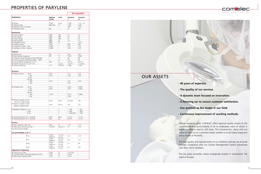| <b>PROPERTIES</b>                                                        |                          |                                      | <b>Biocompatible</b>     |                 |
|--------------------------------------------------------------------------|--------------------------|--------------------------------------|--------------------------|-----------------|
|                                                                          | Method<br><b>ASTM</b>    | <b>Units</b>                         | Parylene<br>C            | Parylene<br>N   |
| $\Box$ Density                                                           | D1505                    | q/cm <sup>3</sup>                    | 1.289                    | $1.10 - 1.12$   |
| $\blacksquare$ Refractive index                                          | Abbe refra.              | $n_{D}^{23}$                         | 1.639                    | 1.661           |
| $\blacksquare$ Refractive index to the square                            | ÷.                       | ä,                                   | 2.69                     | 2.76            |
| Penetration power                                                        | Exp.                     | ä,                                   | 5x                       | 40x             |
|                                                                          |                          |                                      |                          |                 |
| <b>Mechanical</b>                                                        |                          |                                      |                          |                 |
| Tensile modulus                                                          | D882                     | GPa                                  | 3.2                      | 2.4             |
| $\blacksquare$ Yield strength                                            | D882                     | MPa                                  | 55                       | 42              |
| Tensile strength                                                         | D882                     | MPa                                  | 70                       | 45              |
| Yield elongation                                                         | D882                     | $\%$                                 | 2.9                      | 2.5             |
| Elongation to break                                                      | D882                     | $\%$                                 | ÷.                       | $10 - 30$       |
| Rockwell hardness                                                        | D785                     | ÷.                                   | R80                      | <b>R85</b>      |
| Coefficient of friction - static                                         | D1894                    | ÷.                                   | 0.29                     | 0.25            |
| Coefficient of friction - dynamic                                        | D1894                    | $\overline{\phantom{a}}$             | 0.29                     | 0.25            |
| Thermal                                                                  |                          |                                      |                          |                 |
| $\blacksquare$ Melting point                                             | DSC                      | °C                                   | 290                      | 420             |
| Glass transition temperature                                             | <b>DSC</b>               | °C                                   | 13-80                    | 35-80           |
| Continuous Service Temperature during 100,000h                           | ÷.                       | $^{\circ}$ C                         | 80                       | 60              |
| Continuous Service Temperature during - 1,000h                           | L,                       | $^{\circ}$ C                         | 115                      | 95              |
| $\blacksquare$ Linear coefficient of expansion to 25 °C                  | <b>TMA</b>               | $K^{-1}$                             | $3.5 \cdot 10^{-5}$      | $6.9.10^{-5}$   |
| Calorific value at 25 °C or 20 °C SCS                                    | ÷.                       | $J/(q-K)$                            | 1/0.712                  | 1.3/0.837       |
| $\blacksquare$ Thermal conductivity                                      | C177                     | $W/(m \cdot K)$                      | 0.084                    | 0.126           |
|                                                                          |                          |                                      |                          |                 |
| <b>Electrical</b>                                                        |                          |                                      |                          |                 |
| Dielectric constant<br>$-60$ Hz                                          | D <sub>150</sub>         | ä,                                   | 3.12                     | 2.65            |
| $-1$ kHz                                                                 | D150                     | $\overline{\phantom{a}}$             | 2.98                     | 2.65            |
| $-10$ kHz                                                                | ä,                       | L.                                   | $\overline{a}$           | ä,              |
| - 100 kHz                                                                | ÷,                       | ä,                                   | L,                       | ÷.              |
| 1 MHz<br>$\sim$                                                          | D150                     | ÷.                                   | 2.91                     | 2.65            |
| 1 GHz<br>$\overline{\phantom{a}}$                                        |                          |                                      | 2.81                     |                 |
| Dissipation factor<br>$-60$ Hz                                           | D150                     | $\blacksquare$                       | 0.023                    | 0.0002          |
| $-1$ kHz                                                                 | D150                     | ä,                                   | 0.017                    | 0.0002          |
| $-10$ kHz                                                                | ä,                       | ä,                                   | ÷,                       | ä,              |
| - 100 kHz                                                                | ÷,                       | ä,                                   | L,                       | ä,              |
| 1 MHz<br>$\sim$                                                          | D150                     | ÷.                                   | 0.013                    | 0.0006          |
| 1 GHz<br>$\overline{\phantom{a}}$                                        | $\blacksquare$           | $\overline{\phantom{a}}$             | 0.001                    | ¥,              |
|                                                                          |                          |                                      |                          |                 |
| Dielectric strength at 25um<br>- short-term voltage upsurge              | D149                     | MV/m                                 | 220-250                  | 280             |
| Dielectric strength at 25um<br>- Stepwise voltage increase               | D149                     | MV/m                                 | 185                      | 235             |
|                                                                          |                          |                                      |                          |                 |
| Breakdown voltage DC at $1 \mu m$                                        | $\blacksquare$           | V                                    | ~1100                    | ~100            |
| $-10 \mu m$                                                              | $\overline{\phantom{a}}$ | V                                    | ~1500                    | ~1000           |
| $-25 \mu m$                                                              | ÷,                       | V                                    | $~5500 - 6250$           | ~1000           |
| Volume Resistivity at 23 °C, 50 % RH                                     | D <sub>257</sub>         | $\Omega$ ·cm                         | $2.2 \cdot 10^{15}$      | $1.4.10^{17}$   |
| Surface Resistivity at 23 °C, 50 % RH                                    | D257                     | Ω                                    | $6.9 \cdot 10^{16}$      | $1.0 - 10^{13}$ |
|                                                                          |                          |                                      |                          |                 |
| <b>Barriers</b>                                                          |                          |                                      |                          |                 |
| Water absorption (after 24h)                                             | D570                     | $\%$                                 | < 0.1                    | < 0.1           |
| Water vapour transmission at 38 °C<br>and 100 % relative humidity        | F1249-06                 | $q.$ mm.m $^{-2}.$ J $^{-1}$         | 0.1                      | 0.75            |
| Gas permeability at 25 °C                                                |                          |                                      |                          |                 |
| $\Box N$                                                                 | D1434<br>F3985-05        | $cm3$ .mm/<br>$m^2$ .j.bar           | 0.4                      | 3.00            |
| $\Box$ 0,                                                                | D1434<br>F3985-05        | cm <sup>3</sup> .mm/<br>$m^2$ .j.bar | 2.9                      | 15.2            |
| $\Box$ CO <sub>2</sub>                                                   | D1434<br>F3985-05        | $cm3$ .mm/<br>$m^2$ .j.bar           | 3.1                      | 86              |
| $-H2$<br><b>Degassing/Outgassing</b>                                     | D1434<br>F3985-05        | $cm3$ .mm/<br>$m^2$ .j.bar           | 42                       | 220             |
|                                                                          |                          |                                      |                          |                 |
| Total mass loss (TML)<br>Collected Volatile Condensable Materials (CVCM) | E 595                    | $\%$                                 | $0.13 - 0.28$            | ÷.              |
| m.<br>Water Vapour Regained (WVR)                                        | E 595                    | $\%$<br>%                            | $0 - 0.03$<br>$0 - 0.02$ | ÷.<br>÷.        |
|                                                                          | E 595                    |                                      |                          |                 |

# OUR ASSETS

- **40 years of expertise.**
- **The quality of our services.**
- 
- 
- 
- 

**- A dynamic team focused on innovation.**

**- A listening ear to ensure customer satisfaction.**

**- Our position as the leader in our field.**

**- Continuous improvement of working methods.**

We are easily accessible, being strategically located in Switzerland, the

Though modestly sized, COMELEC offers big-time quality thanks to the commitment and accountability of all its employees, each of whom is highly qualified in specific skill areas. This characteristic, along with our ability to listen to our customers'needs, enables us to be highly responsive and a model of flexibility.

The high quality and reproducibility of our Parylene coatings are ensured through compliance with our Quality Management System procedures (ISO 9001-2015 certified).

heart of Europe.



# PROPERTIES OF PARYLENE